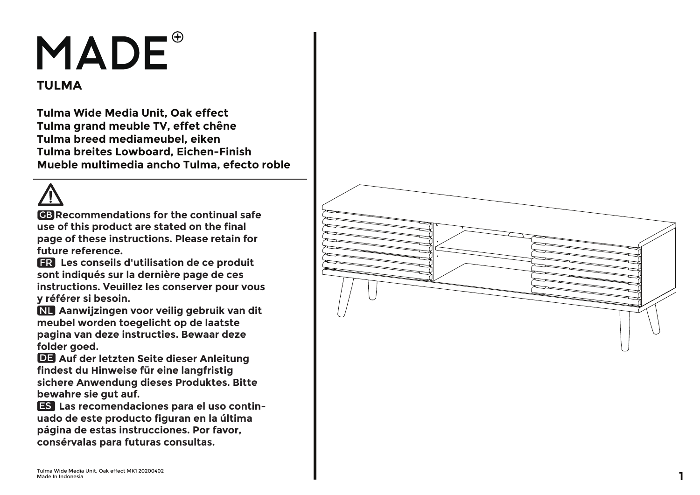## **MADE**

## **TULMA**

**Tulma Wide Media Unit, Oak effect Tulma grand meuble TV, effet chêne Tulma breed mediameubel, eiken Tulma breites Lowboard, Eichen-Finish Mueble multimedia ancho Tulma, efecto roble**

**GB** Recommendations for the continual safe **use of this product are stated on the final page of these instructions. Please retain for future reference.**

 **Les conseils d'utilisation de ce produit**  FR **sont indiqués sur la dernière page de ces instructions. Veuillez les conserver pour vous y référer si besoin.**

 **Aanwijzingen voor veilig gebruik van dit**  NL **meubel worden toegelicht op de laatste pagina van deze instructies. Bewaar deze folder goed.**

**DE Auf der letzten Seite dieser Anleitung findest du Hinweise für eine langfristig sichere Anwendung dieses Produktes. Bitte bewahre sie gut auf.**

 **Las recomendaciones para el uso contin -** ES **uado de este producto figuran en la última página de estas instrucciones. Por favor, consérvalas para futuras consultas.**

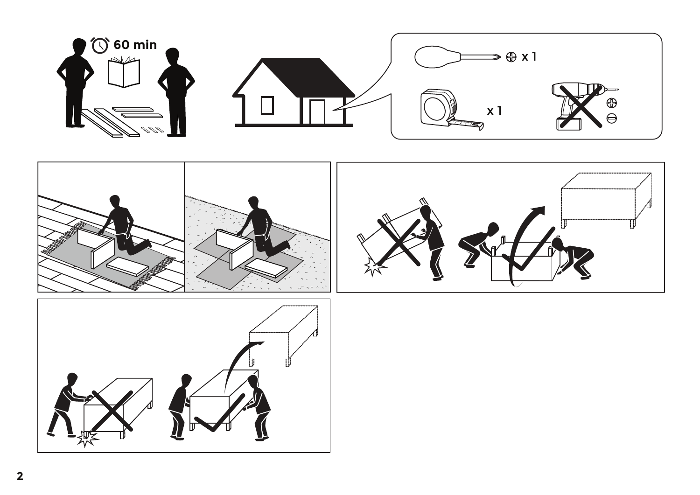





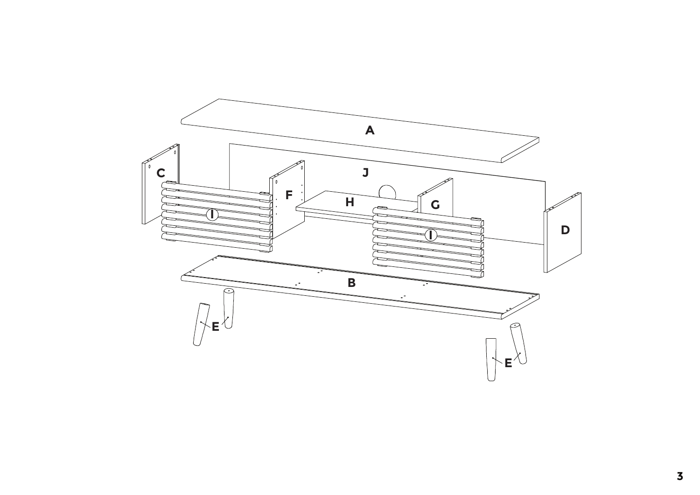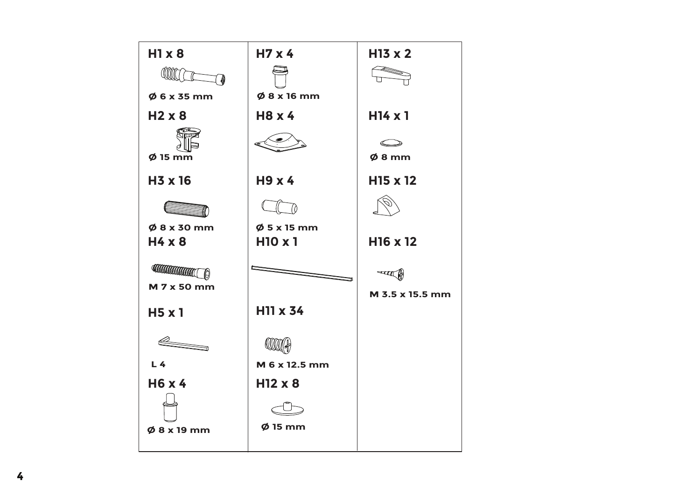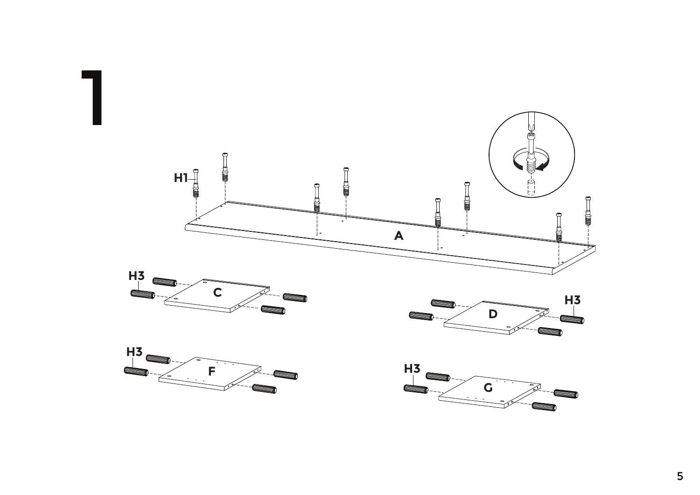

 $\overline{\mathbf{5}}$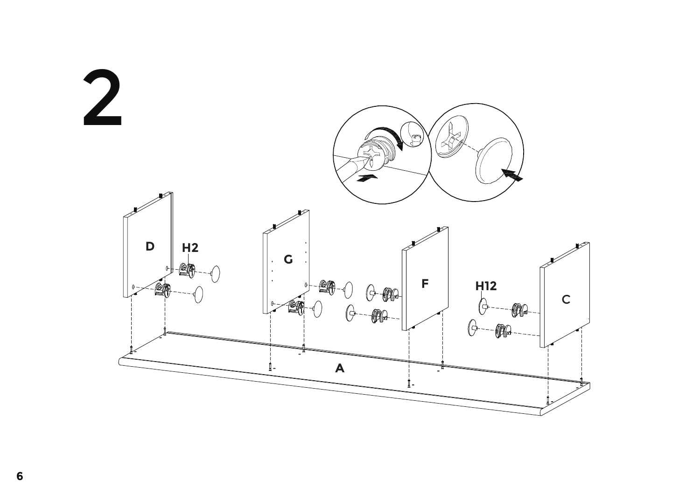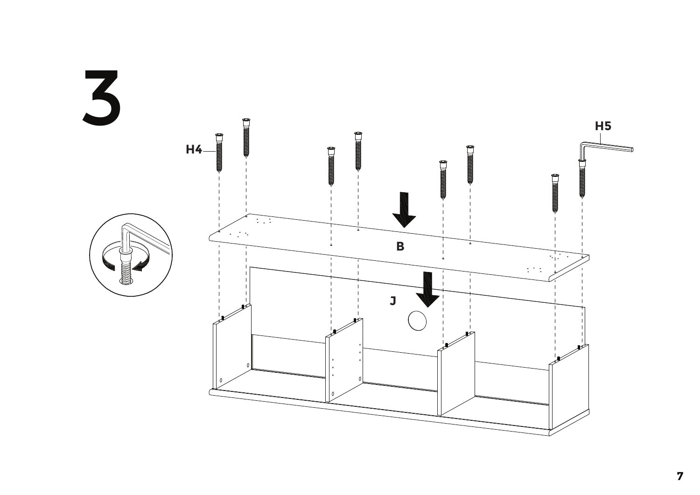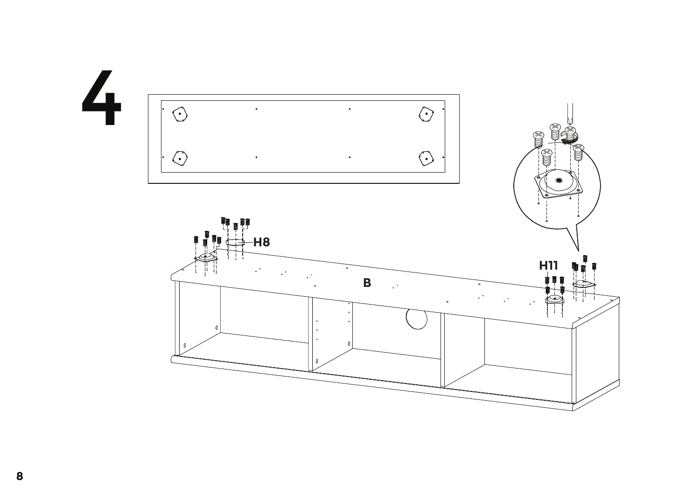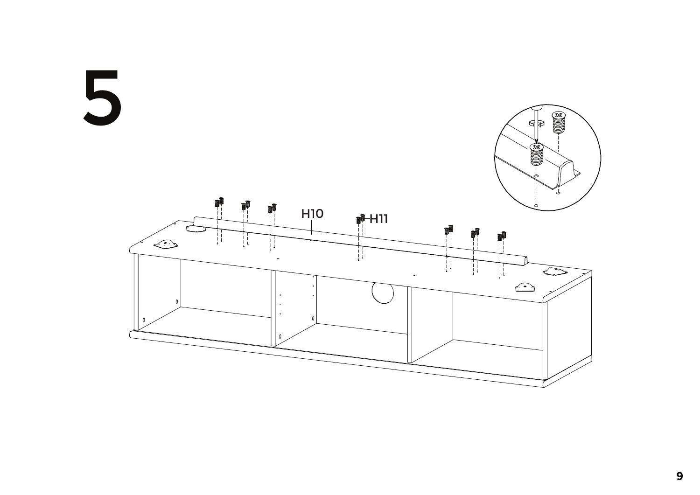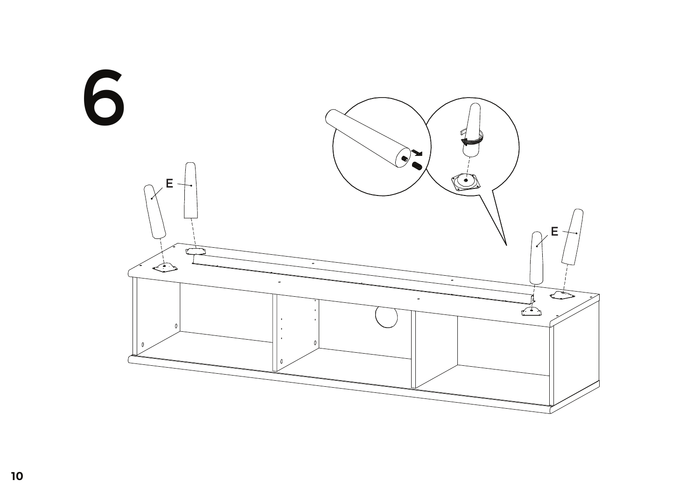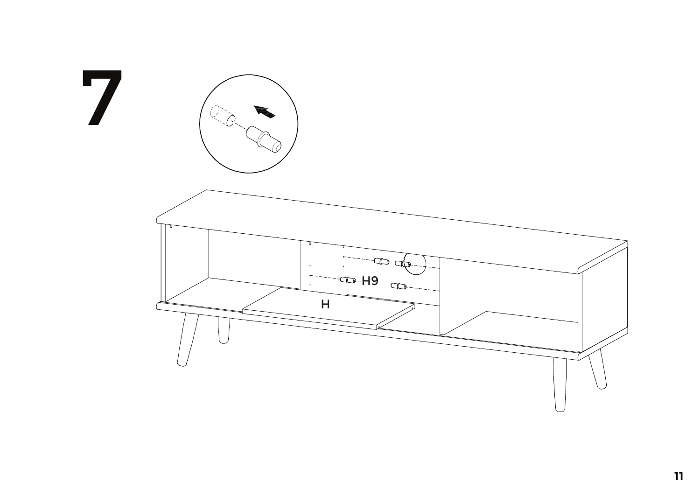

 $\overline{\mathbf{1}}$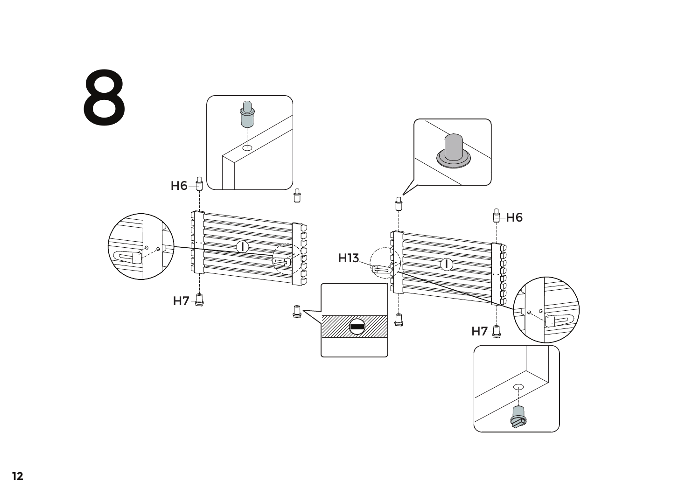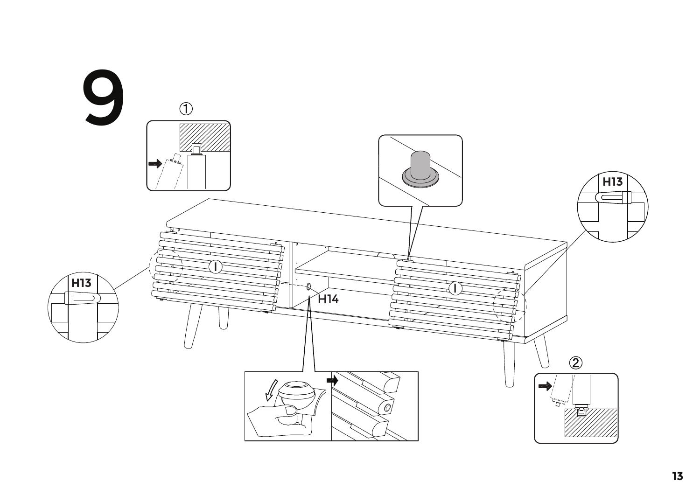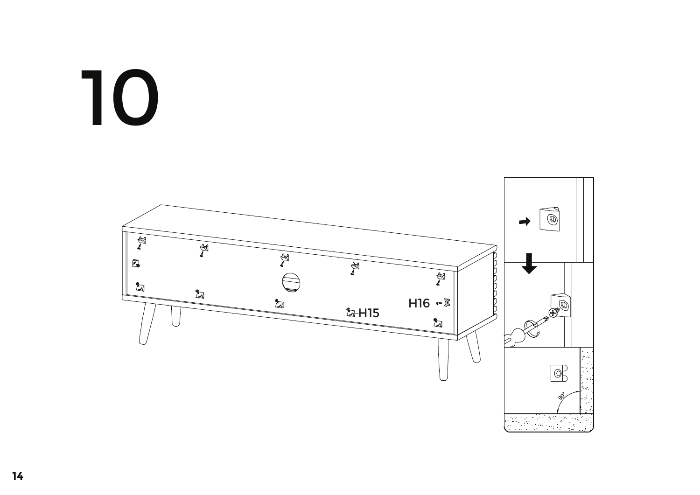## 10